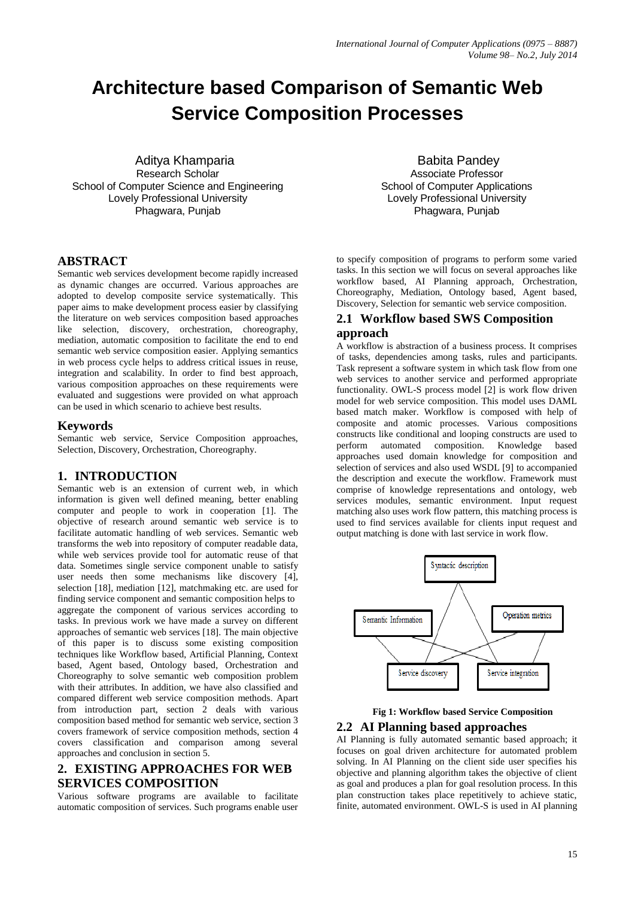# **Architecture based Comparison of Semantic Web Service Composition Processes**

 Aditya Khamparia Research Scholar School of Computer Science and Engineering Lovely Professional University Phagwara, Punjab

**ABSTRACT**

Semantic web services development become rapidly increased as dynamic changes are occurred. Various approaches are adopted to develop composite service systematically. This paper aims to make development process easier by classifying the literature on web services composition based approaches like selection, discovery, orchestration, choreography, mediation, automatic composition to facilitate the end to end semantic web service composition easier. Applying semantics in web process cycle helps to address critical issues in reuse, integration and scalability. In order to find best approach, various composition approaches on these requirements were evaluated and suggestions were provided on what approach can be used in which scenario to achieve best results.

#### **Keywords**

Semantic web service, Service Composition approaches, Selection, Discovery, Orchestration, Choreography.

## **1. INTRODUCTION**

Semantic web is an extension of current web, in which information is given well defined meaning, better enabling computer and people to work in cooperation [1]. The objective of research around semantic web service is to facilitate automatic handling of web services. Semantic web transforms the web into repository of computer readable data, while web services provide tool for automatic reuse of that data. Sometimes single service component unable to satisfy user needs then some mechanisms like discovery [4], selection [18], mediation [12], matchmaking etc. are used for finding service component and semantic composition helps to aggregate the component of various services according to tasks. In previous work we have made a survey on different approaches of semantic web services [18]. The main objective of this paper is to discuss some existing composition techniques like Workflow based, Artificial Planning, Context based, Agent based, Ontology based, Orchestration and Choreography to solve semantic web composition problem with their attributes. In addition, we have also classified and compared different web service composition methods. Apart from introduction part, section 2 deals with various composition based method for semantic web service, section 3 covers framework of service composition methods, section 4 covers classification and comparison among several approaches and conclusion in section 5.

# **2. EXISTING APPROACHES FOR WEB SERVICES COMPOSITION**

Various software programs are available to facilitate automatic composition of services. Such programs enable user

Babita Pandey Associate Professor School of Computer Applications Lovely Professional University Phagwara, Punjab

to specify composition of programs to perform some varied tasks. In this section we will focus on several approaches like workflow based, AI Planning approach, Orchestration, Choreography, Mediation, Ontology based, Agent based, Discovery, Selection for semantic web service composition.

## **2.1 Workflow based SWS Composition approach**

A workflow is abstraction of a business process. It comprises of tasks, dependencies among tasks, rules and participants. Task represent a software system in which task flow from one web services to another service and performed appropriate functionality. OWL-S process model [2] is work flow driven model for web service composition. This model uses DAML based match maker. Workflow is composed with help of composite and atomic processes. Various compositions constructs like conditional and looping constructs are used to perform automated composition. Knowledge based approaches used domain knowledge for composition and selection of services and also used WSDL [9] to accompanied the description and execute the workflow. Framework must comprise of knowledge representations and ontology, web services modules, semantic environment. Input request matching also uses work flow pattern, this matching process is used to find services available for clients input request and output matching is done with last service in work flow.



# **Fig 1: Workflow based Service Composition 2.2 AI Planning based approaches**

AI Planning is fully automated semantic based approach; it focuses on goal driven architecture for automated problem solving. In AI Planning on the client side user specifies his objective and planning algorithm takes the objective of client as goal and produces a plan for goal resolution process. In this plan construction takes place repetitively to achieve static, finite, automated environment. OWL-S is used in AI planning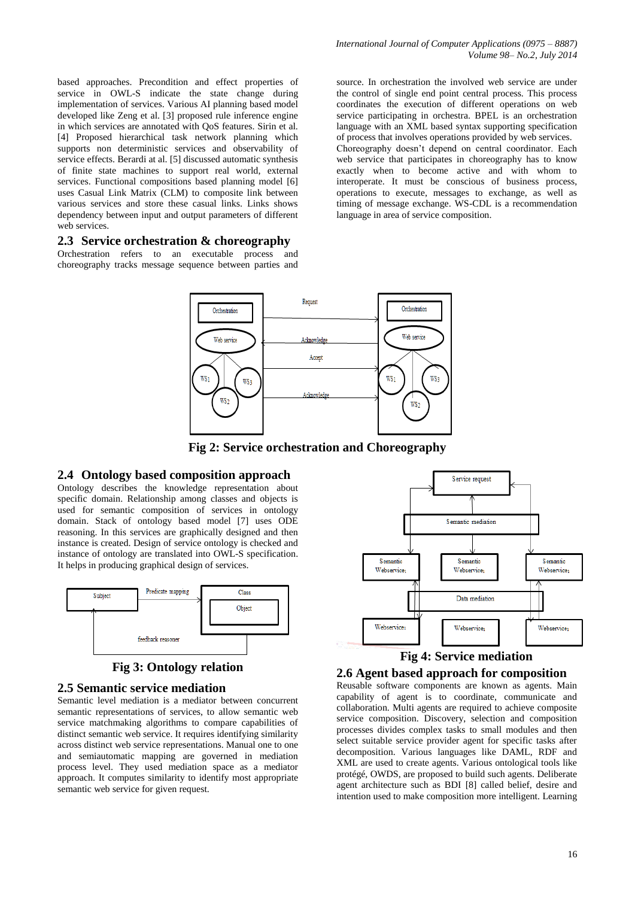based approaches. Precondition and effect properties of service in OWL-S indicate the state change during implementation of services. Various AI planning based model developed like Zeng et al. [3] proposed rule inference engine in which services are annotated with QoS features. Sirin et al. [4] Proposed hierarchical task network planning which supports non deterministic services and observability of service effects. Berardi at al. [5] discussed automatic synthesis of finite state machines to support real world, external services. Functional compositions based planning model [6] uses Casual Link Matrix (CLM) to composite link between various services and store these casual links. Links shows dependency between input and output parameters of different web services.

#### **2.3 Service orchestration & choreography**

Orchestration refers to an executable process and choreography tracks message sequence between parties and

source. In orchestration the involved web service are under the control of single end point central process. This process coordinates the execution of different operations on web service participating in orchestra. BPEL is an orchestration language with an XML based syntax supporting specification of process that involves operations provided by web services. Choreography doesn't depend on central coordinator. Each web service that participates in choreography has to know exactly when to become active and with whom to interoperate. It must be conscious of business process, operations to execute, messages to exchange, as well as timing of message exchange. WS-CDL is a recommendation language in area of service composition.



**Fig 2: Service orchestration and Choreography**

### **2.4 Ontology based composition approach**

Ontology describes the knowledge representation about specific domain. Relationship among classes and objects is used for semantic composition of services in ontology domain. Stack of ontology based model [7] uses ODE reasoning. In this services are graphically designed and then instance is created. Design of service ontology is checked and instance of ontology are translated into OWL-S specification. It helps in producing graphical design of services.



# **Fig 3: Ontology relation**

#### **2.5 Semantic service mediation**

Semantic level mediation is a mediator between concurrent semantic representations of services, to allow semantic web service matchmaking algorithms to compare capabilities of distinct semantic web service. It requires identifying similarity across distinct web service representations. Manual one to one and semiautomatic mapping are governed in mediation process level. They used mediation space as a mediator approach. It computes similarity to identify most appropriate semantic web service for given request.





Reusable software components are known as agents. Main capability of agent is to coordinate, communicate and collaboration. Multi agents are required to achieve composite service composition. Discovery, selection and composition processes divides complex tasks to small modules and then select suitable service provider agent for specific tasks after decomposition. Various languages like DAML, RDF and XML are used to create agents. Various ontological tools like protégé, OWDS, are proposed to build such agents. Deliberate agent architecture such as BDI [8] called belief, desire and intention used to make composition more intelligent. Learning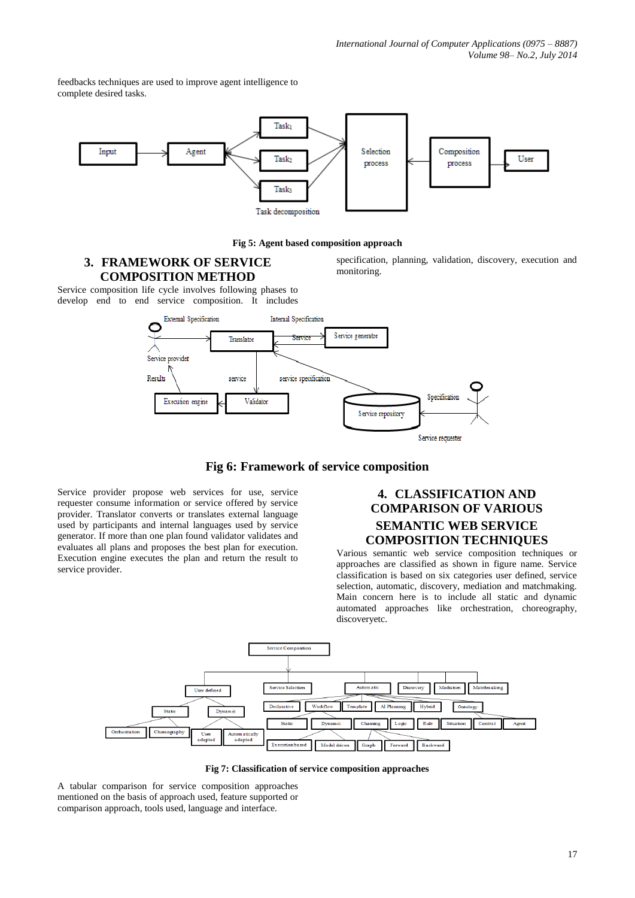feedbacks techniques are used to improve agent intelligence to complete desired tasks.



#### **Fig 5: Agent based composition approach**

# **3. FRAMEWORK OF SERVICE COMPOSITION METHOD**

specification, planning, validation, discovery, execution and monitoring.

Service composition life cycle involves following phases to develop end to end service composition. It includes





Service provider propose web services for use, service requester consume information or service offered by service provider. Translator converts or translates external language used by participants and internal languages used by service generator. If more than one plan found validator validates and evaluates all plans and proposes the best plan for execution. Execution engine executes the plan and return the result to service provider.

# **4. CLASSIFICATION AND COMPARISON OF VARIOUS SEMANTIC WEB SERVICE COMPOSITION TECHNIQUES**

Various semantic web service composition techniques or approaches are classified as shown in figure name. Service classification is based on six categories user defined, service selection, automatic, discovery, mediation and matchmaking. Main concern here is to include all static and dynamic automated approaches like orchestration, choreography, discoveryetc.



**Fig 7: Classification of service composition approaches**

A tabular comparison for service composition approaches mentioned on the basis of approach used, feature supported or comparison approach, tools used, language and interface.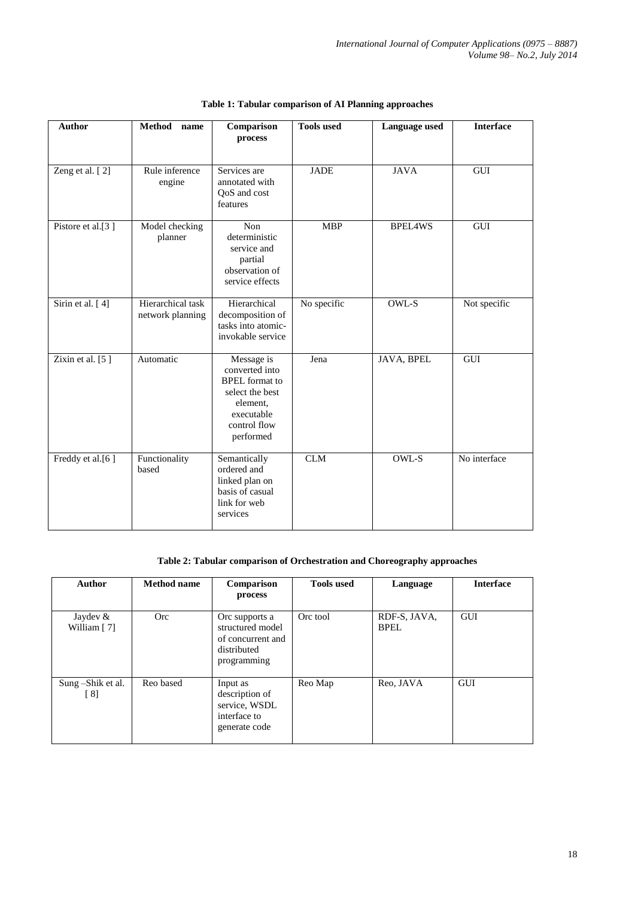| <b>Author</b>      | <b>Method</b><br>name                 | Comparison<br>process                                                                                                           | <b>Tools used</b> | Language used  | <b>Interface</b> |
|--------------------|---------------------------------------|---------------------------------------------------------------------------------------------------------------------------------|-------------------|----------------|------------------|
| Zeng et al. [2]    | Rule inference<br>engine              | Services are<br>annotated with<br>QoS and cost<br>features                                                                      | <b>JADE</b>       | <b>JAVA</b>    | <b>GUI</b>       |
| Pistore et al.[3]  | Model checking<br>planner             | Non<br>deterministic<br>service and<br>partial<br>observation of<br>service effects                                             | <b>MBP</b>        | <b>BPEL4WS</b> | GUI              |
| Sirin et al. [4]   | Hierarchical task<br>network planning | Hierarchical<br>decomposition of<br>tasks into atomic-<br>invokable service                                                     | No specific       | OWL-S          | Not specific     |
| Zixin et al. $[5]$ | Automatic                             | Message is<br>converted into<br><b>BPEL</b> format to<br>select the best<br>element,<br>executable<br>control flow<br>performed | Jena              | JAVA, BPEL     | GUI              |
| Freddy et al.[6]   | Functionality<br>based                | Semantically<br>ordered and<br>linked plan on<br>basis of casual<br>link for web<br>services                                    | CLM               | OWL-S          | No interface     |

# **Table 1: Tabular comparison of AI Planning approaches**

## **Table 2: Tabular comparison of Orchestration and Choreography approaches**

| Author                    | <b>Method name</b> | Comparison<br>process                                                                 | <b>Tools used</b> | Language                    | <b>Interface</b> |
|---------------------------|--------------------|---------------------------------------------------------------------------------------|-------------------|-----------------------------|------------------|
| Jaydev $&$<br>William [7] | <b>Orc</b>         | Orc supports a<br>structured model<br>of concurrent and<br>distributed<br>programming | Orc tool          | RDF-S, JAVA,<br><b>BPEL</b> | <b>GUI</b>       |
| Sung -Shik et al.<br>[8]  | Reo based          | Input as<br>description of<br>service, WSDL<br>interface to<br>generate code          | Reo Map           | Reo, JAVA                   | GUI              |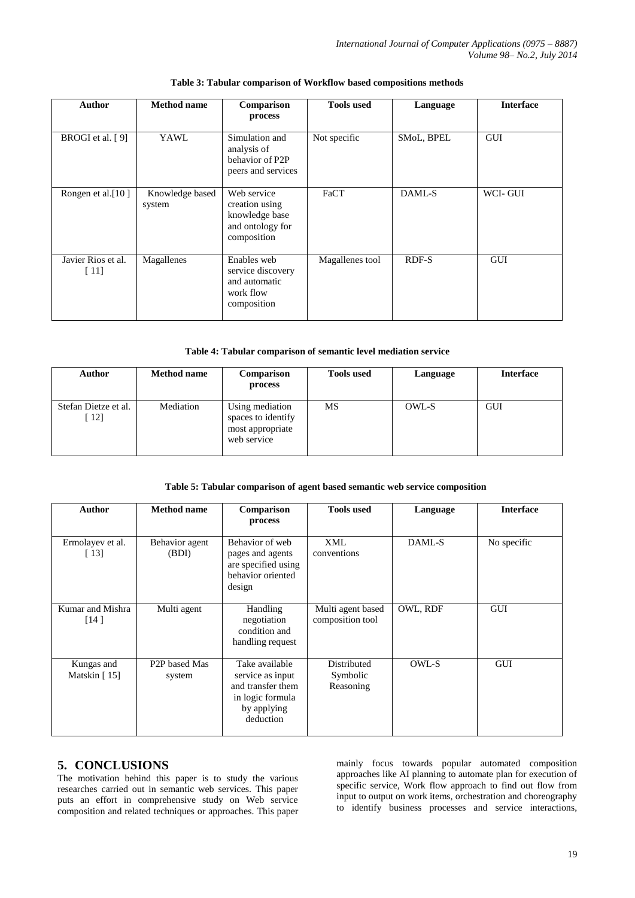| <b>Author</b>              | <b>Method name</b>        | Comparison<br>process                                                              | <b>Tools used</b> | Language   | <b>Interface</b> |
|----------------------------|---------------------------|------------------------------------------------------------------------------------|-------------------|------------|------------------|
| BROGI et al. [9]           | YAWL                      | Simulation and<br>analysis of<br>behavior of P2P<br>peers and services             | Not specific      | SMoL, BPEL | <b>GUI</b>       |
| Rongen et al.[10]          | Knowledge based<br>system | Web service<br>creation using<br>knowledge base<br>and ontology for<br>composition | FaCT              | DAML-S     | WCI-GUI          |
| Javier Rios et al.<br>[11] | Magallenes                | Enables web<br>service discovery<br>and automatic<br>work flow<br>composition      | Magallenes tool   | RDF-S      | <b>GUI</b>       |

#### **Table 3: Tabular comparison of Workflow based compositions methods**

#### **Table 4: Tabular comparison of semantic level mediation service**

| <b>Author</b>               | <b>Method name</b> | Comparison<br>process                                                    | <b>Tools used</b> | Language | <b>Interface</b> |
|-----------------------------|--------------------|--------------------------------------------------------------------------|-------------------|----------|------------------|
| Stefan Dietze et al.<br>12] | Mediation          | Using mediation<br>spaces to identify<br>most appropriate<br>web service | MS                | OWL-S    | GUI              |

#### **Table 5: Tabular comparison of agent based semantic web service composition**

| Author                       | <b>Method name</b>                   | Comparison<br>process                                                                                   | <b>Tools used</b>                     | Language | <b>Interface</b> |
|------------------------------|--------------------------------------|---------------------------------------------------------------------------------------------------------|---------------------------------------|----------|------------------|
| Ermolayev et al.<br>$[13]$   | Behavior agent<br>(BDI)              | Behavior of web<br>pages and agents<br>are specified using<br>behavior oriented<br>design               | XML<br>conventions                    | DAML-S   | No specific      |
| Kumar and Mishra<br>[14]     | Multi agent                          | Handling<br>negotiation<br>condition and<br>handling request                                            | Multi agent based<br>composition tool | OWL, RDF | <b>GUI</b>       |
| Kungas and<br>Matskin $[15]$ | P <sub>2</sub> P based Mas<br>system | Take available<br>service as input<br>and transfer them<br>in logic formula<br>by applying<br>deduction | Distributed<br>Symbolic<br>Reasoning  | OWL-S    | <b>GUI</b>       |

# **5. CONCLUSIONS**

The motivation behind this paper is to study the various researches carried out in semantic web services. This paper puts an effort in comprehensive study on Web service composition and related techniques or approaches. This paper mainly focus towards popular automated composition approaches like AI planning to automate plan for execution of specific service, Work flow approach to find out flow from input to output on work items, orchestration and choreography to identify business processes and service interactions,